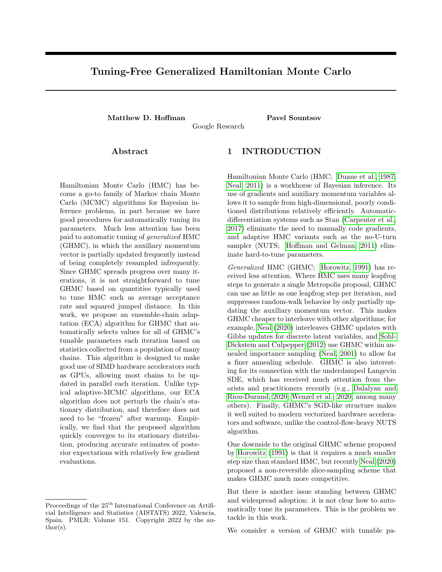# Tuning-Free Generalized Hamiltonian Monte Carlo

Matthew D. Hoffman Pavel Sountsov

Google Research

Abstract

Hamiltonian Monte Carlo (HMC) has become a go-to family of Markov chain Monte Carlo (MCMC) algorithms for Bayesian inference problems, in part because we have good procedures for automatically tuning its parameters. Much less attention has been paid to automatic tuning of generalized HMC (GHMC), in which the auxiliary momentum vector is partially updated frequently instead of being completely resampled infrequently. Since GHMC spreads progress over many iterations, it is not straightforward to tune GHMC based on quantities typically used to tune HMC such as average acceptance rate and squared jumped distance. In this work, we propose an ensemble-chain adaptation (ECA) algorithm for GHMC that automatically selects values for all of GHMC's tunable parameters each iteration based on statistics collected from a population of many chains. This algorithm is designed to make good use of SIMD hardware accelerators such as GPUs, allowing most chains to be updated in parallel each iteration. Unlike typical adaptive-MCMC algorithms, our ECA algorithm does not perturb the chain's stationary distribution, and therefore does not need to be "frozen" after warmup. Empirically, we find that the proposed algorithm quickly converges to its stationary distribution, producing accurate estimates of posterior expectations with relatively few gradient evaluations.

Proceedings of the  $25<sup>th</sup>$  International Conference on Artificial Intelligence and Statistics (AISTATS) 2022, Valencia, Spain. PMLR: Volume 151. Copyright 2022 by the au- $\text{thor}(s)$ .

## 1 INTRODUCTION

Hamiltonian Monte Carlo (HMC; [Duane et al., 1987;](#page-9-0) [Neal, 2011\)](#page-9-1) is a workhorse of Bayesian inference. Its use of gradients and auxiliary momentum variables allows it to sample from high-dimensional, poorly conditioned distributions relatively efficiently. Automaticdifferentiation systems such as Stan (Carpenter et al., 2017) eliminate the need to manually code gradients, and adaptive HMC variants such as the no-U-turn sampler (NUTS; [Hoffman and Gelman, 2011\)](#page-9-2) eliminate hard-to-tune parameters.

Generalized HMC (GHMC; [Horowitz, 1991\)](#page-9-3) has received less attention. Where HMC uses many leapfrog steps to generate a single Metropolis proposal, GHMC can use as little as one leapfrog step per iteration, and suppresses random-walk behavior by only partially updating the auxiliary momentum vector. This makes GHMC cheaper to interleave with other algorithms; for example, [Neal](#page-9-4) [\(2020\)](#page-9-4) interleaves GHMC updates with Gibbs updates for discrete latent variables, and [Sohl-](#page-10-0)[Dickstein and Culpepper](#page-10-0) [\(2012\)](#page-10-0) use GHMC within annealed importance sampling [\(Neal, 2001\)](#page-9-5) to allow for a finer annealing schedule. GHMC is also interesting for its connection with the underdamped Langevin SDE, which has received much attention from theorists and practitioners recently (e.g., Dalalyan and Riou-Durand, 2020; [Wenzel et al., 2020,](#page-10-1) among many others). Finally, GHMC's SGD-like structure makes it well suited to modern vectorized hardware accelerators and software, unlike the control-flow-heavy NUTS algorithm.

One downside to the original GHMC scheme proposed by [Horowitz](#page-9-3) [\(1991\)](#page-9-3) is that it requires a much smaller step size than standard HMC, but recently [Neal](#page-9-4) [\(2020\)](#page-9-4) proposed a non-reversible slice-sampling scheme that makes GHMC much more competitive.

But there is another issue standing between GHMC and widespread adoption: it is not clear how to automatically tune its parameters. This is the problem we tackle in this work.

We consider a version of GHMC with tunable pa-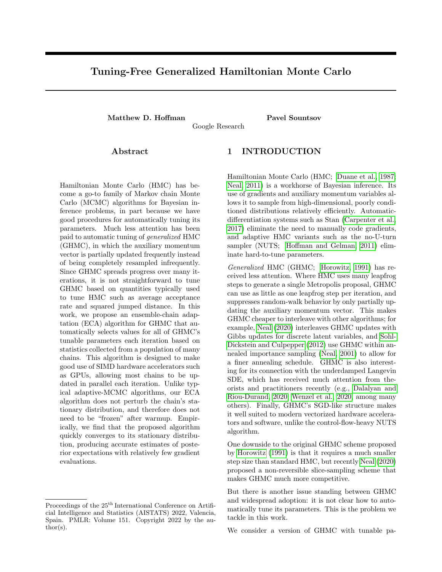rameters controlling step size, damping, slice drift speed, and a diagonal preconditioning matrix. Working within the framework of ensemble-chain adaptation (ECA; [Gilks et al., 1994\)](#page-9-6), which allows for tuning of MCMC parameters while maintaining the correct stationary distribution, in Section 4 we derive heuristics for setting all of GHMC's parameters. In Section 5, we demonstrate that the resulting algorithm is competitive with other turnkey HMC methods such as ChEES-HMC ([Homan et al., 2021\)](#page-9-7) and NUTS ([Ho](#page-9-2) [man and Gelman](#page-9-2), [2011](#page-9-2)). In summary, our contributions include:

We discuss how to derive ECA-MCMC algorithms that can take full advantage of parallel-compute resources such as GPUs. These algorithms can automatically select appropriate values for their tunable parameters while maintaining the correct stationary distribution.

We propose ECA-friendly heuristics for selecting appropriate step size, damping, and slice drift speed parameters for GHMC with the slicesampling scheme o[f Nea](#page-9-4)l [\(202](#page-9-4)0). We also show how to apply the heuristics in conjunction with ECA preconditioning.

We propose a heuristic for estimating the largest eigenvalue of a matrix from a noisy, low-rank estimate of that matrix.

Putting these pieces together, we demonstrate empirically that the proposed tuning-free algorithm can compete with strong adaptive-HMC algorithms like NUTS and ChEES-HMC.

# 2 BACKGROUND AND RELATED WORK

In this section we review the tools we will build on to derive a self-tuning generalized HMC (GHMC) algorithm: HMC and GHMC; a slice-sampling extension that makes GHMC much more ecient; and the framework of ensemble-chain adaptation, which lets an ensemble of states inform each others' proposals. Throughout, we will assume that we are interested in sampling from an di erentiable unnormalized distribution  $p( )$  over some  $2 R^{D}$ .

## 2.1 Hamiltonian Monte Carlo

Hamiltonian Monte Carlo (HMC; [Duane et al., 1987;](#page-9-0) [Neal, 2011](#page-9-1)) generates proposals by rst introducing an auxiliary vector of \momentum" variables m such that  $p( ; m ) = p( )N(m; 0; 1)$ . Interpreting as the position of a hypothetical particle and treating  $logp()$ 

as a potential energy function and  $log N$  (m; 0; I) as a kinetic energy, we can simulate the Hamiltonian dynamics of that particle. Since Hamiltonian dynamics are reversible, preserve volume, and conserve energy (and therefore conserve  $log($ ; m )), evolving the state

, m according to the exact dynamics and negating the momentum would yield a reversible, deterministic Metropolis proposal [\(Metropolis et al., 1953](#page-9-8)) with acceptance probability 1. We can then resample the momentum m from its standard-normal distribution, and repeat.

In practice, we must discretize the Hamiltonian dynamics, and we typically use the leapfrog integrator, which requires one evaluation of the gradient r logp per integrator step (with gradient caching), is reversible, and preserves volume. However, it does not conserve energy exactly, and so we must apply a Metropolis correction to ensure detailed balance; if we propose a new state  $^0$ ; m $^0$ , then we reject this move with probability max f 0; 1 p( $^{0}$ ;m $^{0}$ )  $\frac{\rho(-\gamma;m\gamma)}{p(-;m\gamma)}$ g. Using smaller step sizes leads to smaller energy changes and higher acceptance rates, but increases the number of steps we must take to make a given amount of progress.

While the standard leapfrog integrator has a scalar step-size parameter , one can also implement it using per-dimension step sizes $_{1:D}$ ; this is the integrator described in Algorithm 1. [Neal](#page-9-1) ([2011](#page-9-1)) shows that this is equivalent to either using a diagonal covariance matrix (sometimes called a mass matrix) for p(m) or linearly rescaling the dimensions of to  $\tilde{d} = d = d$ . Such a rescaling can improve HMC's eciency if it improves the conditioning of log p( ) ([Langmore et al., 2019](#page-9-9)).

HMC's performance also depends strongly on the number of leapfrog steps taken between momentumresampling steps. Too few steps and the chain will explore the space by a slow random walk; too many and we waste computation. A popular extension of HMC, the no-U-turn sampler (NUTS; [Homan and Gelman,](#page-9-2) 2011) automatically decides when to resample the momentum based on when the dynamics start to double back and make a \U turn". However, Homan et al. (2021) observe that NUTS chains can be expensive to run in parallel on modern hardware accelerators such as GPUs and TPUs, and propose an alternative adaptive-MCMC strategy (called ChEES-HMC) to tune HMC's number-of-leapfrog-steps parameter.

## 2.2 Generalized Hamiltonian Monte Carlo

Horowitz (1991) developed a generalization of HMC (GHMC) in which the momentum is only partially updated each iteration. At the beginning of each iteration, instead of resamplingm N (0; I ), we apply eration, instead of resappling in  $N$  (0,1), we apply<br>the update m  $N$  (m  $\overline{1}$ ; I), where 2 (0;1]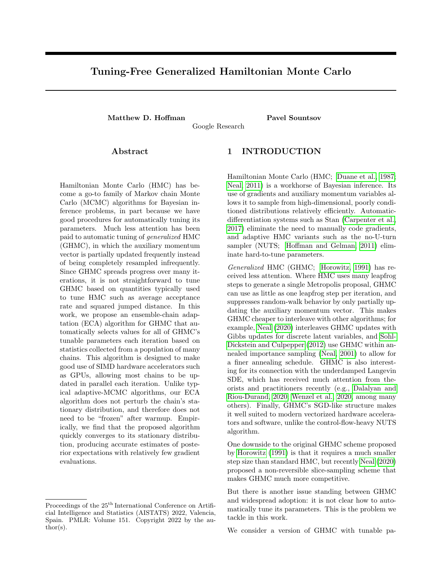is a scalar that controls how much m changes. This leaves the standard-normal distribution over m invariant, since it e ectively adds a zero-mean normal with variance to one with variance 1

Next, as in HMC, we propose updating the state , m by applying one or more leapfrog updates and then negating the momentum (to make the proposal reversible), and accept or reject this move according to the usual Metropolis ratio. Finally, we unconditionally negate the momentum; if we accepted the leapfrog move, this will undo the negation from the previous step, but if we rejected the leapfrog move then it will make the chain \bounce" and reverse course. In standard HMC  $($  = 1) this would be unnecessary, since m would immediately be completely resampled. But in GHMC, where we only partially update the momentum, allowing the momentum to be negated would cause the chain to reverse direction and undo some of the progress that it made on the previous iteration.

If we take one leapfrog step per iteration (as we will assume from here onward), in the limit where the step size and update amount become small, all proposals are accepted and the dynamics simulate the underdamped Langevin SDE:

$$
d = mdt; dm = (r \log p( ) m)dt + \frac{p}{2}dW(t);
$$
\n(1)

where we de ne the damping coe cient  $=$   $\frac{1}{2}$ . Discretizations of underdamped Langevin dynamics resemble sampling analogs of gradient descent with momentum, and have receieved much positive attention from theorists recently (e.g., Cheng et al., 2018; Dalalyan and Riou-Durand, 2020; Ma et al., 2021). Like HMC, underdamped Langevin dynamics use momentum to suppress ine cient random-walk behavior.

So why is GHMC not as widely used in practice as HMC variants that completely resample the momentum each iteration? One answer has to do with rejections. Suppose both HMC and GHMC must simulate their dynamics for T leapfrog steps without a rejection to make optimal progress, and suppose that for both algorithms the energy after t steps is  $\mathsf{E}_\mathsf{t}$ . HMC faces a single accept-reject decision based on the total energy, whereas GHMC must endure a gauntlet of possible rejections:

$$
P_{GHMC}^{accept} = \frac{Q}{t} \min f 1; e^{E_{t-1} - E_t} g
$$
  
= min f 1;  $\frac{Q}{t}$  min f 1; e^{E\_{t-1} - E\_t} g g  
= min f 1; expf  $P_t$  min f 0; E<sub>t-1</sub> - E<sub>t</sub> g g (2)  
min f 1; expf  $\frac{E_{t-1}}{t} - E_t g g$   
= min f 1; e<sup>E\_0</sup> - E<sup>T</sup> g = P<sup>accept</sup><sub>HMC</sub>:

So GHMC pays a price each time the energy increases, While this scheme makes GHMC competitive with

whereas HMC is robust to energy 
uctuations around a stable mean. Symplectic integrators such as the leapfrog are celebrated for their tendency to produce stable 
uctuations over long trajectories rather than accumulating energy errors (Hairer et al., 2006). Unlike HMC, GHMC must aggressively control these 
uctuations by using a very small step size if it is to avoid random-walk behavior caused by rejections.

Fortunately, Neal (2020) recently proposed a solution to this problem based on slice sampling (Neal, 2003). We can augment the system with an auxiliary scalar slice variables Uniform  $(0, p( ; m))$ , so that the joint probability is uniform:  $p( ; m; s) / I[s p( ; m)].$ 

Now, holding s xed, we can propose a new  $0<sup>o</sup>$ , m $0 =$ leapfrog(;  $m$ ; ), which we will accept as long ass p( $^0$ ; m $^0$ ). If we resampleds each iteration, this would be equivalent to the usual GHMC proposal. But if we leaves xed for T steps, then we will accept all T steps as long as the energy never increases so much that  $E_t$   $E_0$   $logp( ; m)$  logs. This will cause our accept and reject decisions to cluster in time|when we sample a relatively \permissive" s (i.e., when s is signi cantly less than  $p( ; m )$ , we will tend to accept many steps in a row even with a large step size.

Rather than fully resample s periodically, Neal (2020) proposes a non-reversible update scheme for the reparameterized slice variableu,  $\frac{s}{p(\pi r)}$  that in the absence of energy 
uctuations will causeu to trace out a triangle wave whose frequency is controlled by a free parameter . A GHMC update using Neal's persistent-Metropolis scheme is outlined in algorithm 1.

| Algorithm 1 Persistent-MH Generalized HMC                                                |
|------------------------------------------------------------------------------------------|
| 1: function leapfrog (;m; )                                                              |
| 2: For each d, set $m_d^0 := m_d + \frac{d}{2}r$ $log p()$ .                             |
| 3: For each d, set $\frac{0}{d}$ := $\frac{1}{d}$ + $\frac{1}{d}$ m <sub>d</sub> .       |
| 4: For each d, set $\overline{m}_d^{00} = m_d^0 + \frac{d}{2}\overline{r}_d \log p(0)$ . |
| 5: return $^{0}$ , m <sup>00</sup>                                                       |
| 6: end function                                                                          |
| 7:                                                                                       |
| 8: function pers_ghm <sub>p</sub> c(;m;u;;;)<br>9: Samplem N (m $\overline{1}$ ; l).     |
|                                                                                          |
| 10: Set $u := ((u + 1 + ) \mod 2)$ 1.                                                    |
| 11: Set $^0$ , m <sup>0</sup> := leapfrog (; m; ):                                       |
| 12: if j <del>u</del> j $\frac{p(^{0})N(m^{0};0;1)}{p(1)}$ then                          |
| 13: return $^{0}$ , m <sup>0</sup> , $\theta \frac{p( )N(m;0;1)}{p( )N(m^{0};0;1)}.$     |
| 14: else                                                                                 |
| 15: $return$ , $ma, b$ .                                                                 |
| 16: end if                                                                               |
| 17: end function                                                                         |

even if that energy is oset by a subsequent decrease, standard HMC, there is another barrier to GHMC's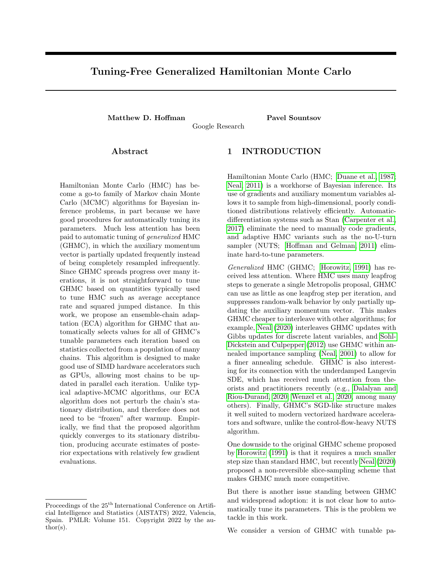wide adoption: the need to manually tune its parameters (step size), (damping), and now (slice drift). Heuristics used to tune HMC do not immediately translate to GHMC. In HMC, the step size is adapted to achieve some target acceptance rate, but if the damping is small then GHMC may require a much higher nominal acceptance rate than HMC; the persistent-Metropolis scheme further complicates the interpretation of acceptance rate. Heuristics used to control HMC's trajectory length such as NUTS and ChEES look at variants on expected squared jumped distance (ESJD; Pasarica and Gelman, 2010), but this must be computed with respect to a reference state at the beginning of a leapfrog trajectory; it is not clear what the analogous reference state is for GHMC. Finally, the slice-drift parameter is not needed in HMC.

In Section 4 we derive principled ways of setting all of these parameters based on statistics aggregated across multiple chains. But rst, we will review a framework that lets us do this tuning without perturbing the chains' stationary distribution.

## 2.3 Ensemble-chain adaptation

In MCMC, using the state of a Markov chain to control the parameters of an transition kernel T is not generally valid; formally, the invariance relation  $p()T(q^{0})$ ;  $)d = p(\begin{array}{cc} 0 \\ 0 \end{array})$ xed does not imply that p( )T(  $^0$  j ; ( ))d = p(  $^0$ ) when ( ) is a function of the current state .

However, if we are running multiple chains in parallel, we are allowed to update one of those chains using parameters that depend on the other chains. Such updates can be justied by treating the ensemble of chains as a single meta-chain. Formally, if we denote the kth chain's state  $k$  and the set of other chains  $_{nk}$ , and we want to sample from the product distribution  $p(\,1:K) =$  $_{\mathsf{k}}$  p( $_{\mathsf{k}}$ ), then each update to a chain  $_{\mathsf{k}}$  j <sub>nk</sub> leaves the stationary distribution invariant:

$$
R \underset{p}{Q} \underset{p}{P} \left( \underset{k}{\underset{i}{\text{max}}} p \left( \underset{k}{\underset{i}{\text{max}}} T \left( \underset{k}{\underset{k}{\text{min}}} \right) \right) \underset{k}{I} \right) \left( \underset{k}{\underset{k}{\text{min}}} 1 \right) \underset{k}{P} \left( \underset{k}{\underset{k}{\text{min}}} 1 \right) \left( \underset{k}{\underset{k}{\text{min}}} 1 \right) \underset{k}{I} \right) \left( \underset{k}{\underset{k}{\text{min}}} 1 \right) \left( \underset{k}{\text{min}} 1 \right) \left( \underset{k}{\underset{k}{\text{min}}} 1 \right) \left( \underset{k}{\underset{k}{\text{min}}} 1 \right) \left( \underset{k}{\underset{k}{\text{min}}} 1 \right) \left( \underset{k}{\underset{k}{\text{min}}} 1 \right) \left( \underset{k}{\underset{k}{\text{min}}} 1 \right) \left( \underset{k}{\underset{k}{\text{min}}} 1 \right) \left( \underset{k}{\underset{k}{\text{min}}} 1 \right) \left( \underset{k}{\underset{k}{\text{min}}} 1 \right) \left( \underset{k}{\underset{k}{\text{min}}} 1 \right) \left( \underset{k}{\underset{k}{\text{min}}} 1 \right) \left( \underset{k}{\underset{k}{\text{min}}} 1 \right) \left( \underset{k}{\underset{k}{\text{min}}} 1 \right) \left( \underset{k}{\underset{k}{\text{min}}} 1 \right) \left( \underset{k}{\underset{k}{\text{min}}} 1 \right) \left( \underset{k}{\underset{k}{\text{min}}} 1 \right) \left( \underset{k}{\underset{k}{\text{min}}} 1 \right) \left( \underset{k}{\underset{k}{\text{min}}} 1 \right) \left( \underset{k}{\underset{k}{\text{min}}} 1 \right) \left( \underset{k}{\underset{k}{\text{min}}} 1 \right) \left( \underset{k}{\underset{k}{\text{min}}} 1 \right) \left( \underset{k}{\underset{k}{\text{min}}} 1 \right) \left( \underset{k}{\underset{k}{\text{min}}} 1 \right) \left( \underset{k}{\underset{k}{\text{min}}} 1 \right) \left( \underset{k}{\underset{k}{\
$$

MCMC procedures with this 
avor have a long history, going back at least to Gilks et al. (1994) and the snooker algorithm, and termed \ensemble-chain adaptation" (ECA) by Zhang and Sutton (2011). In the context of (G)HMC algorithms, they have mostly been used to obtain preconditioners (e.g., Zhang and Sutton, 2011; Leimkuhler et al., 2018) (the methods in this paper are complementary to and could be integrated with such quasi-Newton-inspired methods).

ECA algorithms clearly require that we run multiple chains. ECA therefore seems well positioned to exploit

Figure 1: Graphical models illustrating two equivalent ECA procedures.  $_{k:t}$  denotes statek at notional iteration t. Solid black lines denote a transition kernel that leaves  $p(\ _{k})$  invariant. This kernel may be controlled by some parameters  $k(1; \ldots; k_1)$  that depend on other states; this dependence is denoted by dashed blue lines. Dotted gray lines denote an identity map between  $_{k:t}$  and  $_{k:t+1}$ . In the example above, we can perform the three updates (left) that take us from the joint state  $_{1:K; 1}$  to  $_{1:K; 4}$  in parallel (right).

the availability of vectorized hardware (such as GPUs and TPUs) and software (such as TensorFlow (Abadi et al., 2016), PyTorch (Paszke et al., 2019), and JAX (Bradbury et al., 2018)), which can cheaply run many chains in parallel. However, if we really must update each state  $_K$  holding the other states  $_{nk}$  xed, then these parallel resources are wasted. In the next section, we consider the question of how to design ECA algorithms to enable maximum parallelism.

# 3 PARALLELIZABLE ENSEMBLE-CHAIN ADAPTATION

We would like to design ECA algorithms that can make use of parallel resources by updating multiple states in parallel, but ECA is justied as a one-state-at-a-time serial procedure. However, we will show that we are free to perform ECA updates on many states in parallel as long as these updates obey a certain conditional independence requirement.

Figure 1 illustrates the idea. Conceptually, we do standard one-at-a-time ECA, updating each state  $k$  conditioned on information from the k 1 states  $_{1:k-1}$ (the graphical model on the left). But because each update only depends on information from states with a lower index, we have all the information we need to compute the K 1 notionally sequential updates for  $_{2:K}$  in parallel. Discarding the K 2 notional interme-

<sup>&</sup>lt;sup>1</sup>One might be tempted to go "hogwild" (Niu et al., 2011) and update all states in parallel, but this can lead to incorrect results; see Appendix D for a simple example.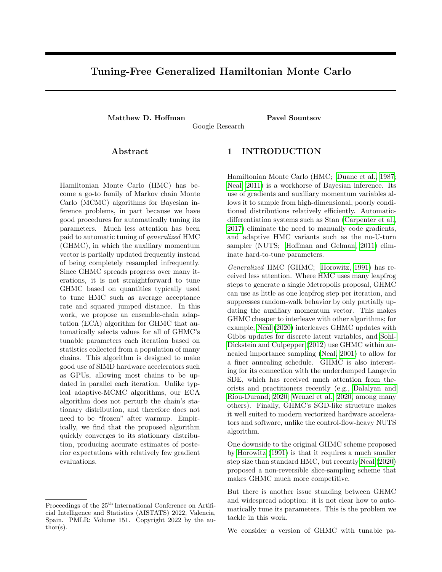diate states, we are left with an update that updates all but one of the states (the graphical model on the right<sup>2</sup>). We can then permute the states and repeat the procedure to ensure that all states are updated.

Sometimes we may want to cut some connections from the general update structure in Figure 1. In this work, we use the K-fold" update structure illustrated in Figure 2, in which we break the states intoK \folds" of N states each, compute parameters based on each fold, and share those parameters across all updates in the neighboring fold<sup>3</sup>. We skip one fold's update each iteration to maintain the correct conditional independence structure. After K iterations, we randomly reshu e the states into K new folds.

This scheme has two main advantages over the denser graphical model in Figure 1: it ensures that the parameters are always computed based on the same number of states N, which facilitates e cient batching, and it ensures that no parameters are estimated from less than N states, which might lead to undesirable behavior (e.g., momentum-negating rejections in GHMC, which are worse than standing still). Its main downside is that it skips updates for  $\pm K$  of the states each iteration, possibly reducing utilization of parallel resources. This can be mitigated by increasing K, at the expense of possibly increasing the variance of the kernel parameters . We use  $K = 4$  as a compromise, which incurs at most a 25% slowdown; in Appendix A we empirically explore the e ect of adjusting K.

## 4 ECA-FRIENDLY HEURISTICS FOR GHMC

In this section, we derive ECA-compatible heuristics for automatically tuning parameters of GHMC: a diagonal preconditioning matrix, a step size , a damping coecient , and a slice-drift coecient . Putting these pieces together yields Algorithm 3, which we call Maximum-Eigenvalue Adaptation of Damping and Step-size (MEADS).

### 4.1 Diagonal preconditioning

(G)HMC algorithms can benet from preconditioning, and one common practice is to scale each dimension by the inverse of an estimate of the posterior standard deviation in that dimension (e.g.; Carpenter

Figure 2: Graphical model illustrating K -fold ECA. The states are split into K folds of N states each, and each foldk is updated using parameters computed from its neighbor fold  $k + 1$  mod K. Each iteration we skip the update for a dierent fold. Solid black lines denote MCMC updates, dashed blue lines denote dependence through kernel parameters, dashed gray lines denote skipping an update.

et al., 2017; Langmore et al., 2021). This can be implemented by giving the leapfrog integrator a vector of per-dimension step sizes scaled by that dimension's standard deviation (Neal, 2011). In MEADS, we simply compute an estimate  $\lambda$  of the marginal standard deviations  $d$  from each fold's states and multiply the neighboring fold's step size accordingly.

In the following sections, we use the transformed variables and gradients  $d$ ,  $d = \lambda d$  and  $g_d$ ,  $r \sim d$  logp( ) = r  $d$  logp( ) $\sim d$  to compute step-size and damping parameters. This yields parameters that are properly adapted to the transformed dynamics.

#### 4.2 Step size

When applied to quadratic potential functions  $\frac{1}{2}$  > H (corresponding to multivariate-Gaussian target distributions with covariance H $^{-1}$ ), the stability of the leapfrog integrator requires that the step size and largest eigenvalue  $_{max}$  of H satisfy max (Leimkuhler and Reich, 2004). More generally, the accuracy of uncorrected underdamped Langevin MCMC likewise depends on keeping the step size inversely proportional to the square root of the largest eigenvalue of the negative Hessian of the log-density (Dalalyan and Riou-Durand, 2020). This suggests trying to set

$$
:= \frac{1}{2} p \frac{1}{\frac{1}{\max{(H)}}}; \quad H , \quad \frac{R}{p(1)^r}^2 \log p(1)^d ;
$$

where  $_{\text{max}}$  (A) is de ned as the largest eigenvalue of A. We use the average Hessiah, since we will estimate max from states that may be far from the states we are updating. The  $\frac{1}{2}$  is there to give us some margin of error; in Appendix A we show that MEADS is not very sensitive to this factor.

Fortunately, we can estimate  $_{max}$  from gradients

<sup>&</sup>lt;sup>2</sup>This graphical model resembles that of inverse autoregressive 
ows (Kingma et al., 2016), which are also designed to permit e cient parallel sampling.

 $3$ Leimkuhler et al. (2018) consider a related scheme, updating only one fold at a time conditioned on all other folds, which reduces the number of states that can be updated in parallel by a factor of K 1.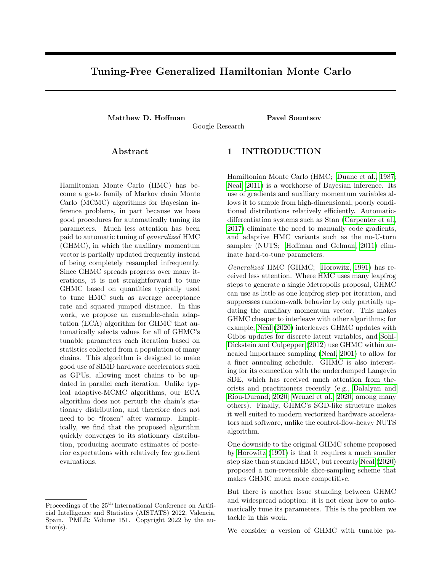without computing second derivatives. In Appendix E, we show that under mild technical conditions,

$$
\mathsf{R}_{p\left(\phantom{\frac{1}{2}}\right)\frac{\text{ of } \log p}{\text{ or } \log^2 p}d}=\mathsf{R}_{p\left(\phantom{\frac{1}{2}}\right)\left(\frac{\text{ } \log p}{\text{ or } \log^2 p}\right)^{>}}\frac{\text{ } \log p}{\text{ } \text{ }d}=\text{ } (4)
$$

That is, at stationarity, the expected negative Hessian of the log-density is the expected outer product of the gradient of the log-density. So, given the (transformed) gradients  $g_{k;1:N}$  for the N (transformed) states  $k_i$ <sub>1:N</sub> from fold k, we can approximate the average negative Hessian as the outer-product matrix  $\overline{H}^{\bullet}$ ,  $\frac{1}{N}$   $\overline{H}^{\bullet}$   $\overline{H}$  g<sub>k;n</sub>  $\overline{H}$ .

#### 4.3 Damping factor and slice drift

The damping coe cient controls how many iterations it takes to forget the current value of our momentum m. To see this, note that value of  $m_{t+i}$  is roughly (ignoring initial and nal leapfrog half-steps)

$$
(1) ^{i=2}m_t + \frac{P_i}{i=1} r \log p(t_{t+j}) + \frac{p-1}{i}; \quad (5)
$$

where  $\frac{1}{1}$  N (0;1).  $m_t$ 's in uence on future states  $m_{t+1}$  decays exponentially with i.

We want this in
uence to decay slowly enough that the chain can move far before forgetting its old momentum (since accelerating such motion is why HMC introduced momentum in the rst place), but not so slowly that the chain takes too long to forget its previous states (since this forgetting drives mixing). As in standard HMC, we want to forget our momentum once we've had a chance to travel the full length of the highest-variance direction.

When applied to a Gaussian target with covariance , the leapfrog integrator with step size takes O( $_{max}$  () = ) steps to progress along the leastconstrained direction; this suggests that we should choose a damping factor such that <sup>1</sup>  $\frac{1}{2}$  log(1 )  $/$  =  $_{max}$  () so that the contraction of m after  $_{max}$  () = steps is neither too large nor too small. If is relatively small (as it should be for di cult prob-

lems), then this suggests setting

$$
= 1 = \max(1)
$$
;  $= 1$   $= 2$ ; (6)

where  $\alpha$  is the empirical covariance of a neighboring fold's states. We use  $1 \cdot e^x$  to constrain  $\lt 1$ .

Similar logic applies to the slice-drift parameter . We want u to remain stable long enough that we can travel far without rejecting, but not so long that u mixes more slowly than and m. We therefore set  $:=$  = 2. This yields a period for u of  $=$  steps, after which the exponential-decay term in Equation 5  $(1)$ <sup>2=</sup>  $2=$  e  $2=$  0:14, implying that the previous period's momentum has mostly been forgotten.

|                 | Algorithm 2 Estimating Largest Eigenvalues                                                                                  |
|-----------------|-----------------------------------------------------------------------------------------------------------------------------|
|                 | 1: function $max_e$ eig $(X)$                                                                                               |
| 2: $S = XX$     |                                                                                                                             |
|                 |                                                                                                                             |
|                 | 3: $:= \frac{\text{tr}(S)}{N}$ . P<br>4: $^2 := \frac{\text{tr}(S)}{N(N-1)}$ $_{n;n} \circ_{\mathbf{G} \cap N} S_{n;n}^2$ . |
| return<br>5:    | $2-$                                                                                                                        |
| 6: end function |                                                                                                                             |

For stability, we put a 
oor on the damping in early iterations to enforce  $\frac{1}{t}$ . The logic is that, if the optimal damping would have us forget our momentum after more than t steps, and we have not yet takent steps, then we have probably not converged to a point where we accurately estimate the appropriate . While the chains are far from convergence, the empirical covariance can be large due to di erences in how quickly the chains approach the target distribution's typical set; these di erences must be damped away before we can safely use a very small damping factor.

#### 4.4 Estimating largest eigenvalues

So far, we have ignored the question ofhow to estimate the largest eigenvalues of the gradient and covariance matrices from Sections 4.2 and 4.3. This turns out to be a bit delicate; the largest eigenvalue of an unbiased estimate<sup> $\lambda$ </sup> of a matrix can be a highly biased estimate of the largest eigenvalue of .

Instead, we propose an estimator based on the ratio

$$
tr(\t2) = tr(1) =
$$
  $\begin{bmatrix} P & P \\ d & d \end{bmatrix} =$   $\begin{bmatrix} P \\ d & d \end{bmatrix}$  (7)

which only relies on our ability to get reasonable estimates of traces, not individual eigenvalues. In the extreme case where all eigenvalues are either  $0$  or $_{\text{max}}$ ,  $\frac{\text{tr}(-2)}{\text{tr}(1)}$  =  $\frac{\text{max}}{\text{max}}$ . In less-extreme cases, this ratio approximates  $_{max}$  well unless there are many \smallbut-not-tiny" eigenvalues that are large enough to in uence the sums, but small enough that they are distinguishable from  $_{max}$ . We explore the properties of this ratio in Appendix C.

The ratio in Equation 7 can be estimated for matrices of the form  $X > X$  in  $O(N^2D)$  operations for  $X$  2  $R^N$   $\overline{P}$ ; Algorithm 2 shows how. The estimator of the trace of  $E[X \times X]^2$  in line 4 is based on the identity  $E[S_{n;n}^2] = E[x_n^2 x_n x_n^2] = E[tr(x_n x_n^2 x_n x_n^2)] = E[kr(x_n x_n^2 x_n^2)] =$ tr(  $E[X \times X]^2$ ) for n 6 n<sup>0</sup>. This cost will be dominated by the cost of computing N gradient evaluations for all but very simple target distributions.

## 5 EFFICIENCY EXPERIMENTS

In this section, we evaluate MEADS's ability to e ciently estimate posterior expectations. We compare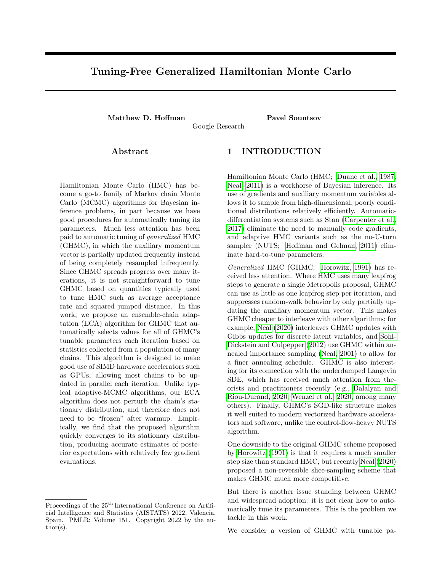```
Algorithm 3 Maximum-Eigenvalue Adaptation of Damping and Step-size (MEADS)
Input: K folds of N initial states _{0;1:K; 1:N}.
Output: Chain of T states 1:T:1:K:1:N1: Initialize u_{0:1:K:1:N} Uniform((1; 1)).
 2: Initialize m_{0:1:K:1:N} N (0; I).
 3: for t = 1 to T do
 4: for k = 1 to K, excluding k = t mod K do
 5: Estimate means \hat{\tau}_{t,k; 1:D} and standard deviations \hat{\tau}_{t,k; 1:D} from t_{t-1,(k-1) \mod K; 1:D}.
 6: Set t; k; n; d := ( t 1;(k 1) mod K;n;d A_{t} 1;k;d )=A_{t; k; d}.
 7: Set g_{t;k;n;d} := r d log p\left(\frac{t}{t+1;(k+1) \mod K;n}\right) ^t;k;d .
 8: Set _{t;k} := min f 1; 0:5= \max_{q} \frac{\text{eig}(q_{t;k})g}{q}9: Set _{t;k} := max f \frac{1}{t+k}; 1= max eig (_{t;(k-1) \mod K})g.
10: Set t_{ik} := 1 e<sup>2 tk tk</sup>, t_{ik} := t_{ik} = 2.
11: Set t_{t,k;n}, m_{t;k;n}, u_{t;k;n} = pers ghmc \left(t_{t-1;k;n}, m_{t-1;k;n}, u_{t-1;k;n}, t_{t,k} - t_{t,k}, t_{t,k}\right).
12: end for
13: end for
```
MEADS with two baseline HMC algorithms: ChEES-HMC (Homan et al., 2021) and NUTS (Homan and Gelman, 2011). We implemented MEADS and ChEES-HMC in JAX (Bradbury et al., 2018) on top of the FunMC API (Sountsov et al., 2020), and used TensorFlow Probability's NUTS implementation (Lao and Dillon, 2019). Our MEADS implementation will be open-sourced as part of TensorFlow Probability (Dillon et al., 2017). All experiments were run on TPU v2s with precision set to HIGHEST to avoid b
oat16 matrix multiplication. All algorithms were evaluated on a set of target distributions from the Inference Gym (Sountsov et al., 2020). Table 1 summarizes the target distributions and their dimensionalities.

We let all algorithms adapt per-dimension step sizes. MEADS uses standard-deviation estimates from neighboring folds. For ChEES-HMC and NUTS, we use an exponential moving average of the previous rst and second moments with decay rate  $= t=(t + 8)$ .

To adapt step sizes for ChEES-HMC and NUTS, we use Adam (Kingma and Ba, 2015) with a learning rate of 0.05 to tune the average across iterations of the cross-chain harmonic-mean acceptance rate to be approximately 0.8. To adapt trajectory lengths for ChEES-HMC, we use Adam with a learning rate of 0.025 following Homan et al. (2021).

For each target distribution, we ran MEADS for 15,000 iterations, thinning the chain by a factor of 10 to save memory. We ran ChEES-HMC and NUTS for 500 iterations, freezing the step-size and (for ChEES-HMC) trajectory-length parameters after 400 iterations. All algorithms were run with 128 chains; MEADS split these 128 chains into four folds. We repeated each experiment 32 times. The initial state  $_{0:k;n}$  of all chains of all algorithms is obtained by running 100 iterations

Figure 3: Squared bias estimate versus number of gradients for ChEES, NUTS, and MEADS. Dashed horizontal lines are thresholds of 001 and 0002.

of Adam on logp( ) with learning rate 0:05.

We then estimated the transient bias of each chain as a function of number of iterations; that is, the squared error  $(E[f(t_{td})] - E[f(t_{1:d})])^2$  between the expected value of (a function of) the state of the chain in dimension d after t steps and its expected value at stationarity. To estimate  $E[f ( t_{td})]$ , we computed the average across experiments  $2 \text{ f } 1; \ldots; 32g$  and chains n 2 f 1;:::; 128g to get E[f (  $_{\text{td}}$  )]  $\overrightarrow{r}_{\text{td}}$  ,  $\frac{1}{\mathsf{SN}}$  s<sub>;n</sub> f (s;n;t;d): Assuming independence between the chains' errors and invoking the central limit theorem, this estimate will have squared error on the order of  $\frac{2}{4096}$ , where  $\frac{2}{f_1d}$  is the posterior variance off (  $_d$ ). To estimate E[f ( $_{1, \mathrm{id}}$ )], we averaged across the last 100 samples and across all 128 chains and 32 runs of NUTS. We summarize the total bias at iteration t as

$$
bias_{1,t}^2 = \max_{d} (f_{t,d}^1 - E[f_{(1,1,d)}])^2 = \frac{2}{f,d};
$$
 (8)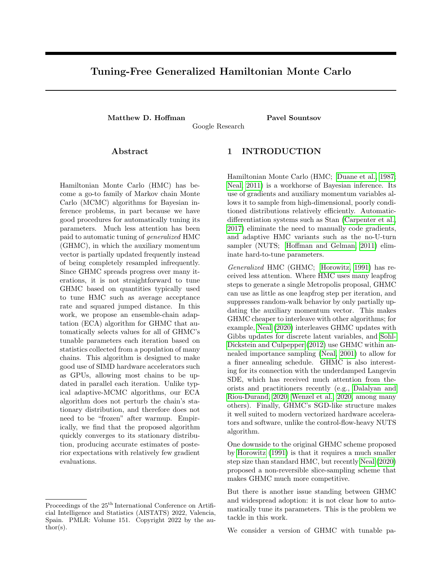| <b>Full Name</b>                                     | Short Name      | Dimensionality |
|------------------------------------------------------|-----------------|----------------|
| Banana                                               | Banana          | 2              |
| <b>IllConditionedGaussian</b>                        | Gaussian        | 100            |
| GermanCreditNumericLogisticRegression                | Logistic        | 25             |
| GermanCreditNumericSparseLogisticRegression          | Sparse          | 51             |
| RadonContextualE ectsHalfNormalIndiana               | Radon           | 91             |
| BrownianMotionUnknownScalesMissingMiddleObservations | <b>Brownian</b> | 32             |
| SyntheticItemResponseTheory                          | IRT             | 501            |
| VectorizedStochasticVolatilityLogSP500               | Volatility      | 2519           |

Table 1: Target distributions used in Section 5.

|                 | Grads to low bias |              |              | Grads to very low bias |                          |              | Grads/ESS   |       |              |
|-----------------|-------------------|--------------|--------------|------------------------|--------------------------|--------------|-------------|-------|--------------|
| Target          | <b>NUTS</b>       | <b>ChEES</b> | <b>MEADS</b> | NUTS                   | ChEES                    | <b>MEADS</b> | <b>NUTS</b> | ChEES | <b>MEADS</b> |
| Banana          | 220               | 164          | 290          | 425                    | 253                      | 420          | 156         | 448   | 386          |
| Gaussian        | 9746              | 5038         | 5420         | 13710                  | 7180                     | 8430         | 3230        | 1316  | 941          |
| Logistic        | 40                | 29           | 20           | 56                     | 43                       | 30           | 25          | 10    | 25           |
| Sparse          | 2616              | 1068         | 510          | 4200                   | 1334                     | 1040         | 888         | 716   | 634          |
| Radon           | 2229              | 1422         | 1470         | 3164                   | 1721                     | 2040         | 874         | 183   | 517          |
| <b>Brownian</b> | 2059              | 500          | 310          | 2447                   | 682                      | 380          | 580         | 582   | 309          |
| IRT             | 1062              | 437          | 690          | 1801                   | 659                      | 840          | 398         | 373   | 588          |
| Volatility      | 4073              | 2980         | 2760         | -                      | $\overline{\phantom{a}}$ |              | 146         | 180   | 315          |

Table 2: Number of gradient evaluations needed to achieve bias 0:01 (\Grads to low bias"), number of gradient evaluations needed to achieve bias 0:002 (\Grads to very low bias"), and number of gradient evaluations divided by e ective sample size (\Grads/ESS"). Results within 10% of best across algorithms are in bold . \-" entries denote unavailable results on the stochastic volatility target due to the high dimensionality making it di cult to estimate bias.

that is, the maximum bias across dimensions normalized by posterior variance.

Figure 3 shows the results for the sparse logistic regression target; plots for other targets are in Appendix B. The bias decays roughly exponentially until it falls below the level that we can detect with 4096 samples. Table 2 summarizes the number of gradient evaluations it takes each algorithm to reach low (one hundredth of posterior variance) and very low (two thousandths of posterior variance) levels of bias when estimating the second moment (i.e.,E[  $\frac{2}{1}$  <sub>;d</sub>], which is sensitive to errors in both mean and variance). These are the levels of bias that will have little impact on estimates based on a total e ective sample size of 100 or 500 (respectively). Because it is hard to estimate small biases, the time-to-very-low-bias statistic may be noisy. MEADS generally performs well on these metrics.

We also estimated each algorithm's asymptotic ef ciency at generating large eective sample sizes (ESS) per chain using TensorFlow Probability's tfp.mcmc.effective sample size implementation. ESS was estimated using cross-chain statistics from the last 100 samples. We report the median across runs of the minimum ESS across dimensions and statistics  $f(d) = d$  and  $f(d) = \frac{2}{d}$ .

Asymptotic ESS eciency is arguably less important for many-chain Bayesian inference work
ows than rapid convergence, since the Monte Carlo error of our estimates scales inversely with both per-chain ESS and number of chains, and there is little point in reducing Monte Carlo error far past the point where it is dominated by posterior uncertainty. Nonetheless, it is interesting to compare the cost of generating larger ESS by running chains for longer to the cost of running more chains in parallel. These costs are generally of the same order|\Grads/ESS" is generally comparable to \Grads to very low bias", although in some cases (e.g., ChEES on Radon), it is substantially lower, likely re
ecting poor early preconditioning.

# 6 DISCUSSION

We have developed MEADS, an ECA tuning scheme that makes turnkey GHMC competitive with existing turnkey HMC algorithms. GHMC is a very 
exible algorithm, and we hope that MEADS encourages further research into its applications and extensions. for example, interleaving GHMC with Gibbs steps on discrete latent variables (Neal, 2020) or exploring ways to ex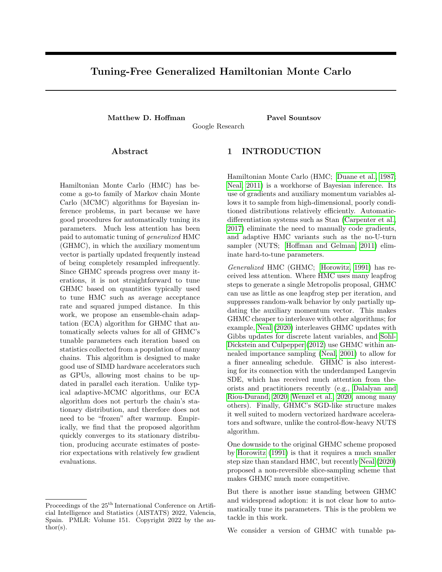tend or improve on MEADS, for example using quasi-Newton preconditioning schemes (Zhang and Sutton, 2011; Leimkuhler et al., 2018) or stochastic gradients.

# 7 ACKNOWLEDGEMENTS

We thank the entire TensorFlow Probability team for many helpful discussions, especially Colin Carroll, Brian Patton, Rif A. Saurous, and Sharad Vikram. We also thank the reviewers for a number of helpful suggestions.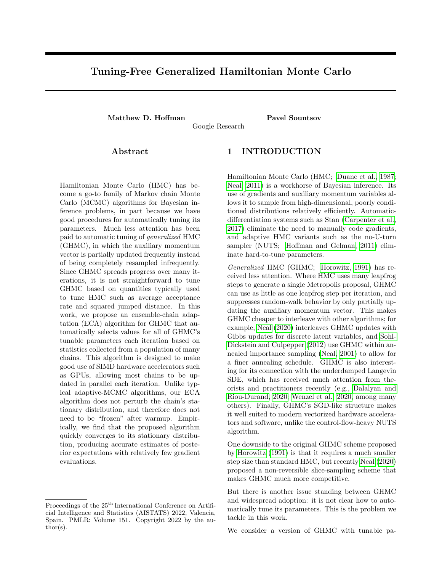#### References

- Abadi, M., Barham, P., Chen, J., Chen, Z., Davis, A., Dean, J., Devin, M., Ghemawat, S., Irving, G., Isard, M., et al. (2016). Tensorflow: A system for large-scale machine learning. In 12th fUSENIXg symposium on operating systems design and implementation (fOSDIq 16), pages 265–283.
- Bradbury, J., Frostig, R., Hawkins, P., Johnson, M. J., Leary, C., Maclaurin, D., Necula, G., Paszke, A., VanderPlas, J., Wanderman-Milne, S., and Zhang, Q. (2018). JAX: composable transformations of Python+NumPy programs.
- Carpenter, B., Gelman, A., Hoffman, M. D., Lee, D., Goodrich, B., Betancourt, M., Brubaker, M., Guo, J., Li, P., and Riddell, A. (2017). Stan: A probabilistic programming language. Journal of statistical software,  $76(1)$ .
- Cheng, X., Chatterji, N. S., Bartlett, P. L., and Jordan, M. I. (2018). Underdamped Langevin MCMC: A non-asymptotic analysis. In Bubeck, S., Perchet, V., and Rigollet, P., editors, Proceedings of the 31st Conference On Learning Theory, volume 75 of Proceedings of Machine Learning Research, pages 300– 323. PMLR.
- Dalalyan, A. S. and Riou-Durand, L. (2020). On sampling from a log-concave density using kinetic langevin diffusions. Bernoulli, 26(3):1956–1988.
- Dillon, J. V., Langmore, I., Tran, D., Brevdo, E., Vasudevan, S., Moore, D., Patton, B., Alemi, A., Hoffman, M., and Saurous, R. A. (2017). Tensorflow distributions.
- <span id="page-9-0"></span>Duane, S., Kennedy, A. D., Pendleton, B. J., and Roweth, D. (1987). Hybrid Monte Carlo. Physics letters B, 195(2):216–222.
- <span id="page-9-6"></span>Gilks, W. R., Roberts, G. O., and George, E. I. (1994). Adaptive direction sampling. Journal of the Royal Statistical Society: Series D (The Statistician), 43(1):179–189.
- Hairer, E., Hochbruck, M., Iserles, A., and Lubich, C. (2006). Geometric numerical integration. Oberwolfach Reports, 3(1):805–882.
- <span id="page-9-7"></span>Hoffman, M., Radul, A., and Sountsov, P. (2021). An adaptive-MCMC scheme for setting trajectory lengths in Hamiltonian Monte Carlo. 130:3907– 3915.
- <span id="page-9-2"></span>Hoffman, M. D. and Gelman, A. (2011). The no-Uturn sampler: Adaptively setting path lengths in Hamiltonian Monte Carlo. The Journal of Machine Learning Research.
- <span id="page-9-3"></span>Horowitz, A. M. (1991). A generalized guided Monte Carlo algorithm. Physics Letters B, 268(2):247–252.
- Kingma, D. and Ba, J. (2015). Adam: A method for stochastic optimization. In International Conference on Learning Representations.
- Kingma, D. P., Salimans, T., and Welling, M. (2016). Improving variational inference with inverse autoregressive flow. Advances in Neural Information Processing Systems, (2011):1–8.
- <span id="page-9-9"></span>Langmore, I., Dikovsky, M., Geraedts, S., Norgaard, P., and Von Behren, R. (2019). A condition number for hamiltonian monte carlo.
- Langmore, I., Dikovsky, M., Geraedts, S., Norgaard, P., and von Behren, R. (2021). Hamiltonian monte carlo in inverse problems; ill-conditioning and multimodality.
- Lao, J. and Dillon, J. V. (2019). Unrolled implementation of no-U-turn sampler. https://github.com/tensorflow/ probability/blob/main/discussion/ technical\_note\_on\_unrolled\_nuts.md.
- Leimkuhler, B., Matthews, C., and Weare, J. (2018). Ensemble preconditioning for Markov chain Monte Carlo simulation. Statistics and Computing, 28(2):277–290.
- Leimkuhler, B. and Reich, S. (2004). Simulating hamiltonian dynamics. Number 14. Cambridge university press.
- Ma, Y.-A., Chatterji, N. S., Cheng, X., Flammarion, N., Bartlett, P. L., and Jordan, M. I. (2021). Is there an analog of nesterov acceleration for gradient-based MCMC? Bernoulli, 27(3):1942–1992.
- <span id="page-9-8"></span>Metropolis, N., Rosenbluth, A. W., Rosenbluth, M. N., Teller, A. H., and Teller, E. (1953). Equation of state calculations by fast computing machines. The journal of chemical physics, 21(6):1087–1092.
- <span id="page-9-5"></span>Neal, R. M. (2001). Annealed importance sampling. Stat. Comput., 11(2):125–139.
- Neal, R. M. (2003). Slice sampling. Annals of Statistics, pages 705–741.
- <span id="page-9-1"></span>Neal, R. M. (2011). MCMC using Hamiltonian dynamics. In Handbook of Markov Chain Monte Carlo. CRC Press New York, NY.
- <span id="page-9-4"></span>Neal, R. M. (2020). Non-reversibly updating a uniform [0, 1] value for Metropolis accept/reject decisions. arXiv preprint arXiv:2001.11950.
- Niu, F., Recht, B., Re, C., and Wright, S. (2011). Hogwild!: A lock-free approach to parallelizing stochastic gradient descent. Advances in neural information processing systems, 24.
- Pasarica, C. and Gelman, A. (2010). Adaptively scaling the Metropolis algorithm using expected squared jumped distance. Statistica Sinica, pages 343–364.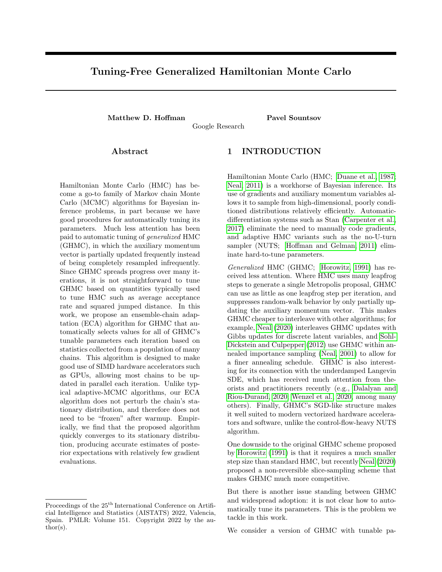- Paszke, A., Gross, S., Massa, F., Lerer, A., Bradbury, J., Chanan, G., Killeen, T., Lin, Z., Gimelshein, N., Antiga, L., et al. (2019). Pytorch: An imperative style, high-performance deep learning library. Advances in neural information processing systems, 32:8026–8037.
- <span id="page-10-0"></span>Sohl-Dickstein, J. and Culpepper, B. J. (2012). Hamiltonian annealed importance sampling for partition function estimation. arXiv preprint arXiv:1205.1925.
- Sountsov, P., Radul, A., and contributors (2020). Inference gym. [https://pypi.org/project/](https://pypi.org/project/inference_gym) [inference\\_gym](https://pypi.org/project/inference_gym).
- <span id="page-10-1"></span>Wenzel, F., Roth, K., Veeling, B. S., Swiatkowski, J., Tran, L., Mandt, S., Snoek, J., Salimans, T., Jenatton, R., and Nowozin, S. (2020). How good is the Bayes posterior in deep neural networks really? arXiv preprint arXiv:2002.02405.
- Zhang, Y. and Sutton, C. (2011). Quasi-Newton methods for Markov chain Monte Carlo. Advances in Neural Information Processing Systems, 24:2393– 2401.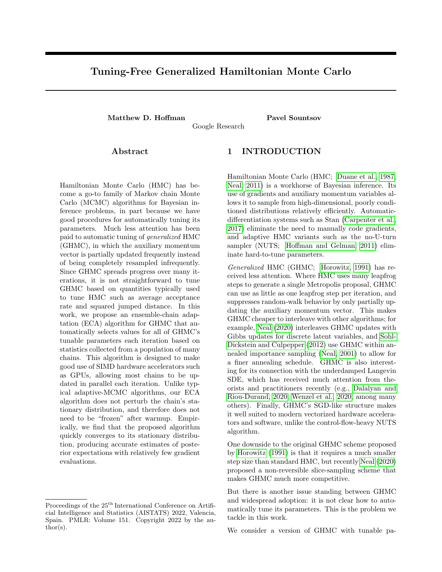# Supplemental Material for "Tuning-Free Generalized Hamiltonian Monte Carlo"

## A ABLATIONS

MEADS has three user-selectable parameters:

A step-size multiplier, set to 0:5 in our main experiments.

A damping-slowdown parameter, set to 1:0 in our main experiments.

A number-of-folds parameter K, set to 4 in our main experiments.

In this section, we examine the effect of different values of these choices, and find that the default values perform well across all target distributions we consider.

### A.1 Step-size multiplier

Figure [4](#page-11-0) shows the number of steps needed to achieve low-bias estimators when using MEADS with step-size multipliers between 0.2 and 0.7 and the default four folds and damping slowdown factor of 1. The recommended default step-size multiplier of 0.5 is reasonable across problems, although it is occasionally a little conservative (for example, on the IRT and stochastic volatility targets).

#### A.2 Damping slowdown

Figure [5](#page-11-1) shows the number of steps needed to achieve low-bias estimators when using MEADS with damping slowdown factors 0.5, 1, 2, and 5 and the default four folds and step-size multiplier of 0.5. The recommended default damping slowdown factor of 1 is reasonable across problems, although the stochastic volatility model would seem to prefer a more conservative ramping-up of momentum.

#### A.3 Number of folds

Figure [6](#page-12-0) shows the number of steps needed to achieve low-bias estimators when using MEADS with 2, 4, and 8 folds and the default step-size multiplier of 0.5 and damping slowdown factor of 1. Four folds is consistently better than two, since when only using two folds half of the chains must sit idle (we conservatively assign the same cost to idle chains as updating chains on the assumption that enough parallel resources are available that we could have computed gradients for



<span id="page-11-0"></span>Figure 4: Number of gradient evaluations needed to achieve squared bias less than 0.01 as a function of step-size multiplier for MEADS. Lower is better.



<span id="page-11-1"></span>Figure 5: Number of gradient evaluations needed to achieve squared bias less than 0.01 as a function of damping slowdown factor for MEADS. Lower is better.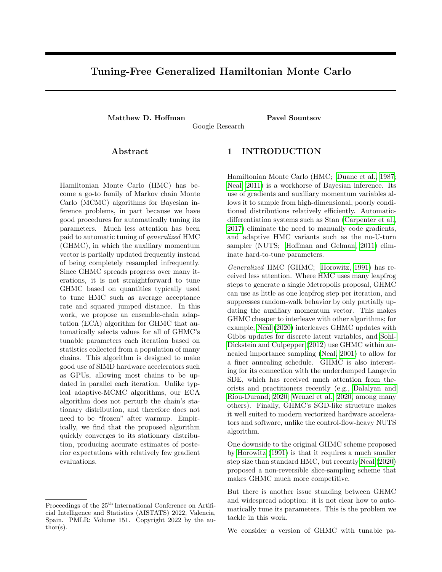

Figure 6: Number of gradient evaluations needed to achieve squared bias less than 0.01 as a function of number of folds for MEADS. Lower is better.

the idle chains at no cost in wallclock time). Increasing the number of folds to eight generally has little effect. (The effect looks large for the logistic-regression target, but this is a quantization artifact due to thinning the MEADS chain by a factor of 10.)

## B BIAS PLOTS

Figure [7](#page-13-0) shows how the transient biases of ChEES, NUTS, and MEADS evolve as a function of number of gradient steps. As the true bias gets very small, the squared error of the estimator becomes dominated by variance and we are unable to get a good estimate of the true bias.

## C EIGENVALUE ESTIMATOR

In this section we consider the maximum-eigenvalue estimator described in Section 4.4 and Algorithm 2.

Given a  $N$ -by- $D$  matrix  $X$  such that

$$
E[\frac{1}{N}X^{\geq X}] = \Sigma.
$$
 (9)

we are interested in estimating the largest eigenvalue of Σ.

Throughout this section, we will consider the simple case where  $X_{n;d}$   $\mathcal{N}(0; d)$ , so that  $\Sigma = \text{diag}(\n\text{2})$  and the largest eigenvalue is  $\max_d \frac{2}{d}$ . We will examine four specific values for , each of which has maximum eigenvalue 1 and  $D = 100$  dimensions:

- 1. **Identity:**  $d = 1$  for all d.
- 2. Log-spaced: Logarithmically spaced  $d$  with  $_1 = 0.1$  and  $_D = 1$ .
- 3. Linear-spaced: Linearly spaced d with  $1 =$ 0.1 and  $D = 1$ .
- 4. **Bimodal:**  $d = 0$  for  $d \le D=2$ ,  $d = 1$  for  $d > D=2$ .

Figure [8](#page-14-0) shows the result of directly computing the largest eigenvalue of  $X^{\geq}X$  ("Naive Estimator") and instead computing the ratio  $\frac{\text{tr}(X^{\geq} XX^{\geq} X)}{\text{tr}(X^{\geq} X)}$  ("Ratio Estimator") as the number of observations  $N$  goes up. For small sample sizes, the estimates are biased upwards; this bias decays faster for the ratio estimator than for the naive estimator. This faster decay comes at the price of a small asymptotic bias for the logspaced and linear-spaced spectra; as  $N$  ! 1 the ratio estimator converges to  $\begin{pmatrix} 1 & 4 \ 0 & d \end{pmatrix} = \begin{pmatrix} 1 & 2 \ 0 & d \end{pmatrix}$ , which is a bit lower than  $\frac{2}{\text{max}}$  when there exist eigenvalues less than  $\frac{2}{max}$  but not so small that they make only a small contribution to the trace  $d \frac{2}{d}$ .

# <span id="page-12-0"></span>D AN EXAMPLE OF THE DANGERS OF HOGWILD ADAPTATION

In this section we provide a simple example of an ensemble-chain adaptation (ECA) MCMC kernel which gives correct results when applied to one state at a time, but catastrophically wrong results when applied "hogwild" to all states in parallel.

There are two independent, uniformly distributed states  $x_0 \nightharpoonup \mathcal{D}$ ; 1g and  $x_1 \nightharpoonup \mathcal{D}$ ; 1g, so that  $p(x) = \frac{1}{4}$ . Our MCMC kernel to update one of the states given the other is the XOR function:  $x_i^{\ell} = \text{XOR}(x_i; x_{1-i})$ . If we update  $x_i$  holding  $x_1$  i fixed, this update satisfies detailed balance, since the two possible updates  $(x_i^0 = XOR(x_i; 0) = x_i$  and  $x_i^0 = XOR(x_i; 1) = 1$   $x_i$ are both reversible with respect to the uniform distribution on  $f0/1g$ . So if we alternate between updating  $x_1$  holding  $x_0$  fixed and  $x_0$  holding  $x_1$  fixed, then the chain will correctly leave the uniform distribution invariant.

However, if we go "hogwild" and apply the update simultaneously to both states, then  $x_0^0 = \text{XOR}(x_0; x_1)$ and  $x_1^{\ell} = \text{XOR}(x_1; x_0) = \text{XOR}(x_0; x_1) = x_0^{\ell}$ . So after one iteration, the two states will be identical. Once the states are identical, another iteration will ensure that they are both zero, since  $XOR(0, 0) = XOR(1, 1) = 0$ . So after two iterations the chain will be stuck in the absorbing state  $x_0 = x_1 = 0$ , rather than leaving the uniform distribution invariant.